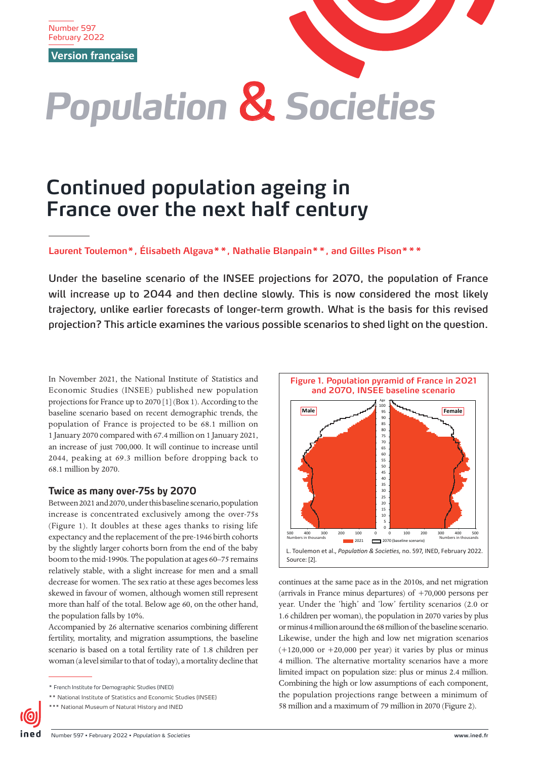Number 597 February 2022

**Version française**



# **Continued population ageing in France over the next half century**

**Laurent Toulemon\*, Élisabeth Algava\*\*, Nathalie Blanpain\*\*, and Gilles Pison\*\*\***

Under the baseline scenario of the INSEE projections for 2070, the population of France will increase up to 2044 and then decline slowly. This is now considered the most likely trajectory, unlike earlier forecasts of longer-term growth. What is the basis for this revised projection? This article examines the various possible scenarios to shed light on the question.

In November 2021, the National Institute of Statistics and Economic Studies (INSEE) published new population projections for France up to 2070 [1] (Box 1). According to the baseline scenario based on recent demographic trends, the population of France is projected to be 68.1 million on 1 January 2070 compared with 67.4 million on 1 January 2021, an increase of just 700,000. It will continue to increase until 2044, peaking at 69.3 million before dropping back to 68.1 million by 2070.

# **Twice as many over-75s by 2070**

Between 2021 and 2070, under this baseline scenario, population increase is concentrated exclusively among the over-75s (Figure 1). It doubles at these ages thanks to rising life expectancy and the replacement of the pre-1946 birth cohorts by the slightly larger cohorts born from the end of the baby boom to the mid-1990s. The population at ages 60–75 remains relatively stable, with a slight increase for men and a small decrease for women. The sex ratio at these ages becomes less skewed in favour of women, although women still represent more than half of the total. Below age 60, on the other hand, the population falls by 10%.

Accompanied by 26 alternative scenarios combining different fertility, mortality, and migration assumptions, the baseline scenario is based on a total fertility rate of 1.8 children per woman (a level similar to that of today), a mortality decline that



continues at the same pace as in the 2010s, and net migration (arrivals in France minus departures) of +70,000 persons per year. Under the 'high' and 'low' fertility scenarios (2.0 or 1.6 children per woman), the population in 2070 varies by plus or minus 4 million around the 68 million of the baseline scenario. Likewise, under the high and low net migration scenarios  $(+120,000$  or  $+20,000$  per year) it varies by plus or minus 4 million. The alternative mortality scenarios have a more limited impact on population size: plus or minus 2.4 million. Combining the high or low assumptions of each component, the population projections range between a minimum of 58 million and a maximum of 79 million in 2070 (Figure 2).

<sup>\*</sup> French Institute for Demographic Studies (INED)

<sup>\*\*</sup> National Institute of Statistics and Economic Studies (INSEE)

<sup>\*\*\*</sup> National Museum of Natural History and INED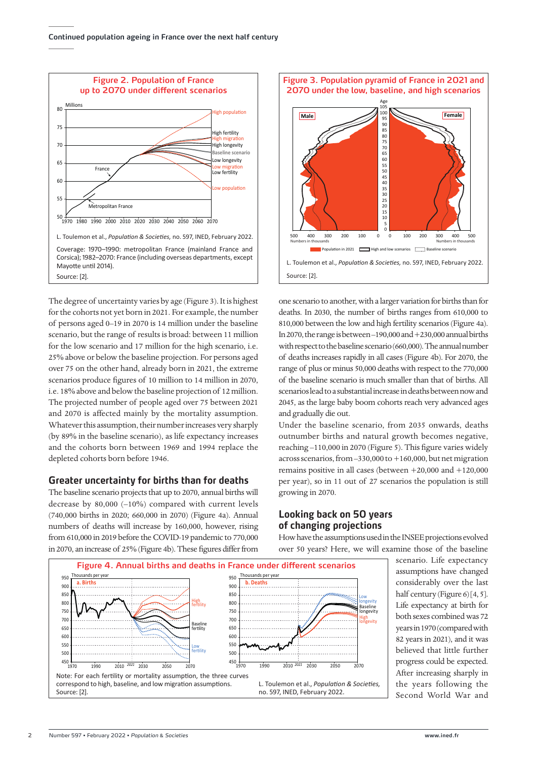

The degree of uncertainty varies by age (Figure 3). It is highest for the cohorts not yet born in 2021. For example, the number of persons aged 0–19 in 2070 is 14 million under the baseline scenario, but the range of results is broad: between 11 million for the low scenario and 17 million for the high scenario, i.e. 25% above or below the baseline projection. For persons aged over 75 on the other hand, already born in 2021, the extreme scenarios produce figures of 10 million to 14 million in 2070, i.e. 18% above and below the baseline projection of 12 million. The projected number of people aged over 75 between 2021 and 2070 is affected mainly by the mortality assumption. Whatever this assumption, their number increases very sharply (by 89% in the baseline scenario), as life expectancy increases and the cohorts born between 1969 and 1994 replace the depleted cohorts born before 1946.

## **Greater uncertainty for births than for deaths**

The baseline scenario projects that up to 2070, annual births will decrease by 80,000 (–10%) compared with current levels (740,000 births in 2020; 660,000 in 2070) (Figure 4a). Annual numbers of deaths will increase by 160,000, however, rising from 610,000 in 2019 before the COVID-19 pandemic to 770,000 in 2070, an increase of 25% (Figure 4b). These figures differ from



one scenario to another, with a larger variation for births than for deaths. In 2030, the number of births ranges from 610,000 to 810,000 between the low and high fertility scenarios (Figure 4a). In 2070, the range is between –190,000 and +230,000 annual births with respect to the baseline scenario (660,000). The annual number of deaths increases rapidly in all cases (Figure 4b). For 2070, the range of plus or minus 50,000 deaths with respect to the 770,000 of the baseline scenario is much smaller than that of births. All scenarios lead to a substantial increase in deaths between now and 2045, as the large baby boom cohorts reach very advanced ages and gradually die out.

Under the baseline scenario, from 2035 onwards, deaths outnumber births and natural growth becomes negative, reaching –110,000 in 2070 (Figure 5). This figure varies widely across scenarios, from –330,000 to +160,000, but net migration remains positive in all cases (between +20,000 and +120,000 per year), so in 11 out of 27 scenarios the population is still growing in 2070.

## **Looking back on 50 years of changing projections**

How have the assumptions used in the INSEE projections evolved over 50 years? Here, we will examine those of the baseline



scenario. Life expectancy assumptions have changed considerably over the last half century (Figure 6) [4, 5]. Life expectancy at birth for both sexes combined was 72 years in 1970 (compared with 82 years in 2021), and it was believed that little further progress could be expected. After increasing sharply in the years following the Second World War and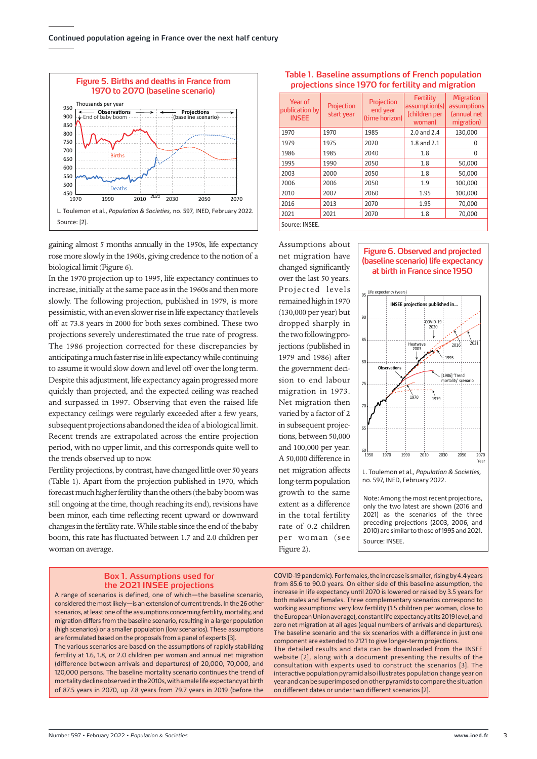

gaining almost 5 months annually in the 1950s, life expectancy rose more slowly in the 1960s, giving credence to the notion of a biological limit (Figure 6).

In the 1970 projection up to 1995, life expectancy continues to increase, initially at the same pace as in the 1960s and then more slowly. The following projection, published in 1979, is more pessimistic, with an even slower rise in life expectancy that levels off at 73.8 years in 2000 for both sexes combined. These two projections severely underestimated the true rate of progress. The 1986 projection corrected for these discrepancies by anticipating a much faster rise in life expectancy while continuing to assume it would slow down and level off over the long term. Despite this adjustment, life expectancy again progressed more quickly than projected, and the expected ceiling was reached and surpassed in 1997. Observing that even the raised life expectancy ceilings were regularly exceeded after a few years, subsequent projections abandoned the idea of a biological limit. Recent trends are extrapolated across the entire projection period, with no upper limit, and this corresponds quite well to the trends observed up to now.

Fertility projections, by contrast, have changed little over 50 years (Table 1). Apart from the projection published in 1970, which forecast much higher fertility than the others (the baby boom was still ongoing at the time, though reaching its end), revisions have been minor, each time reflecting recent upward or downward changes in the fertility rate. While stable since the end of the baby boom, this rate has fluctuated between 1.7 and 2.0 children per woman on average.

## **Box 1. Assumptions used for the 2021 INSEE projections**

A range of scenarios is defined, one of which—the baseline scenario, considered the most likely—is an extension of current trends. In the 26 other scenarios, at least one of the assumptions concerning fertility, mortality, and migration differs from the baseline scenario, resulting in a larger population (high scenarios) or a smaller population (low scenarios). These assumptions are formulated based on the proposals from a panel of experts [3].

The various scenarios are based on the assumptions of rapidly stabilizing fertility at 1.6, 1.8, or 2.0 children per woman and annual net migration (difference between arrivals and departures) of 20,000, 70,000, and 120,000 persons. The baseline mortality scenario continues the trend of mortality decline observed in the 2010s, with a male life expectancy at birth of 87.5 years in 2070, up 7.8 years from 79.7 years in 2019 (before the

Year of publication by INSEE Projection start year Projection end year (time horizon) **Fertility** assumption(s) (children per woman) Migration assumptions (annual net migration) 1970 1970 1985 2.0 and 2.4 130,000 1979 1975 2020 1.8 and 2.1 0 1986 | 1985 | 2040 | 1.8 | 0 1995 | 1990 | 2050 | 1.8 | 50,000 2003 2000 2050 1.8 50,000 2006 2006 2050 1.9 100,000 2010 | 2007 | 2060 | 1.95 | 100,000 2016 2013 2070 1.95 70,000 2021 | 2021 | 2070 | 1.8 | 70,000 Source: INSEE.

**Table 1. Baseline assumptions of French population projections since 1970 for fertility and migration** 

Assumptions about net migration have changed significantly over the last 50 years. Projected levels remained high in 1970 (130,000 per year) but dropped sharply in the two following projections (published in 1979 and 1986) after the government decision to end labour migration in 1973. Net migration then varied by a factor of 2 in subsequent projections, between 50,000 and 100,000 per year. A 50,000 difference in net migration affects long-term population growth to the same extent as a difference in the total fertility rate of 0.2 children per woman (see Figure 2).





L. Toulemon et al.*, Population & Societies,* no. 597, INED, February 2022.

Note: Among the most recent projections, only the two latest are shown (2016 and 2021) as the scenarios of the three preceding projections (2003, 2006, and 2010) are similar to those of 1995 and 2021. Source: INSEE.

COVID-19 pandemic). For females, the increase is smaller, rising by 4.4 years from 85.6 to 90.0 years. On either side of this baseline assumption, the increase in life expectancy until 2070 is lowered or raised by 3.5 years for both males and females. Three complementary scenarios correspond to working assumptions: very low fertility (1.5 children per woman, close to the European Union average), constant life expectancy at its 2019 level, and zero net migration at all ages (equal numbers of arrivals and departures). The baseline scenario and the six scenarios with a difference in just one component are extended to 2121 to give longer-term projections. The detailed results and data can be downloaded from the INSEE website [2], along with a document presenting the results of the consultation with experts used to construct the scenarios [3]. The interactive population pyramid also illustrates population change year on year and can be superimposed on other pyramids to compare the situation on different dates or under two different scenarios [2].